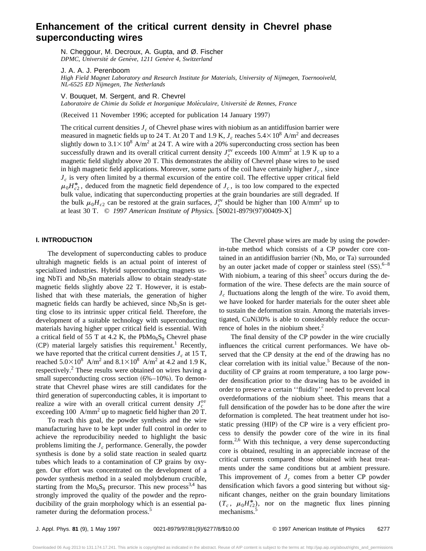# **Enhancement of the critical current density in Chevrel phase superconducting wires**

N. Cheggour, M. Decroux, A. Gupta, and Ø. Fischer *DPMC, Universite´ de Gene`ve, 1211 Gene`ve 4, Switzerland*

J. A. A. J. Perenboom

*High Field Magnet Laboratory and Research Institute for Materials, University of Nijmegen, Toernooiveld, NL-6525 ED Nijmegen, The Netherlands*

V. Bouquet, M. Sergent, and R. Chevrel

*Laboratoire de Chimie du Solide et Inorganique Mole´culaire, Universite´ de Rennes, France*

(Received 11 November 1996; accepted for publication 14 January 1997)

The critical current densities  $J_c$  of Chevrel phase wires with niobium as an antidiffusion barrier were measured in magnetic fields up to 24 T. At 20 T and 1.9 K,  $J_c$  reaches  $5.4 \times 10^8$  A/m<sup>2</sup> and decreases slightly down to  $3.1\times10^8$  A/m<sup>2</sup> at 24 T. A wire with a 20% superconducting cross section has been successfully drawn and its overall critical current density  $J_c^{ov}$  exceeds 100 A/mm<sup>2</sup> at 1.9 K up to a magnetic field slightly above 20 T. This demonstrates the ability of Chevrel phase wires to be used in high magnetic field applications. Moreover, some parts of the coil have certainly higher  $J_c$ , since *J<sub>c</sub>* is very often limited by a thermal excursion of the entire coil. The effective upper critical field  $\mu_0 H_{c2}^*$ , deduced from the magnetic field dependence of  $J_c$ , is too low compared to the expected bulk value, indicating that superconducting properties at the grain boundaries are still degraded. If the bulk  $\mu_0 H_{c2}$  can be restored at the grain surfaces,  $J_c^{\text{ov}}$  should be higher than 100 A/mm<sup>2</sup> up to at least 30 T.  $\odot$  1997 American Institute of Physics. [S0021-8979(97)00409-X]

## **I. INTRODUCTION**

The development of superconducting cables to produce ultrahigh magnetic fields is an actual point of interest of specialized industries. Hybrid superconducting magnets using NbTi and  $Nb<sub>3</sub>Sn$  materials allow to obtain steady-state magnetic fields slightly above 22 T. However, it is established that with these materials, the generation of higher magnetic fields can hardly be achieved, since  $Nb<sub>3</sub>Sn$  is getting close to its intrinsic upper critical field. Therefore, the development of a suitable technology with superconducting materials having higher upper critical field is essential. With a critical field of 55 T at 4.2 K, the  $PbMo<sub>6</sub>S<sub>8</sub>$  Chevrel phase  $(CP)$  material largely satisfies this requirement.<sup>1</sup> Recently, we have reported that the critical current densities  $J_c$  at 15 T, reached  $5.0\times10^8$  A/m<sup>2</sup> and  $8.1\times10^8$  A/m<sup>2</sup> at 4.2 and 1.9 K, respectively.<sup>2</sup> These results were obtained on wires having a small superconducting cross section  $(6\% -10\%)$ . To demonstrate that Chevrel phase wires are still candidates for the third generation of superconducting cables, it is important to realize a wire with an overall critical current density  $J_c^{ov}$ exceeding 100  $A/mm^2$  up to magnetic field higher than 20 T.

To reach this goal, the powder synthesis and the wire manufacturing have to be kept under full control in order to achieve the reproducibility needed to highlight the basic problems limiting the  $J_c$  performance. Generally, the powder synthesis is done by a solid state reaction in sealed quartz tubes which leads to a contamination of CP grains by oxygen. Our effort was concentrated on the development of a powder synthesis method in a sealed molybdenum crucible, starting from the  $Mo<sub>6</sub>S<sub>8</sub>$  precursor. This new process<sup>3,4</sup> has strongly improved the quality of the powder and the reproducibility of the grain morphology which is an essential parameter during the deformation process.<sup>5</sup>

The Chevrel phase wires are made by using the powderin-tube method which consists of a CP powder core contained in an antidiffusion barrier (Nb, Mo, or Ta) surrounded by an outer jacket made of copper or stainless steel  $(SS)$ .<sup>6-8</sup> With niobium, a tearing of this sheet<sup>5</sup> occurs during the deformation of the wire. These defects are the main source of  $J_c$  fluctuations along the length of the wire. To avoid them, we have looked for harder materials for the outer sheet able to sustain the deformation strain. Among the materials investigated, CuNi30% is able to considerably reduce the occurrence of holes in the niobium sheet. $2$ 

The final density of the CP powder in the wire crucially influences the critical current performances. We have observed that the CP density at the end of the drawing has no clear correlation with its initial value.<sup>5</sup> Because of the nonductility of CP grains at room temperature, a too large powder densification prior to the drawing has to be avoided in order to preserve a certain ''fluidity'' needed to prevent local overdeformations of the niobium sheet. This means that a full densification of the powder has to be done after the wire deformation is completed. The heat treatment under hot isostatic pressing (HIP) of the CP wire is a very efficient process to densify the powder core of the wire in its final form.<sup>2,6</sup> With this technique, a very dense superconducting core is obtained, resulting in an appreciable increase of the critical currents compared those obtained with heat treatments under the same conditions but at ambient pressure. This improvement of  $J_c$  comes from a better CP powder densification which favors a good sintering but without significant changes, neither on the grain boundary limitations  $(T_c, \mu_0 H_c^*)$ , nor on the magnetic flux lines pinning mechanisms.<sup>5</sup>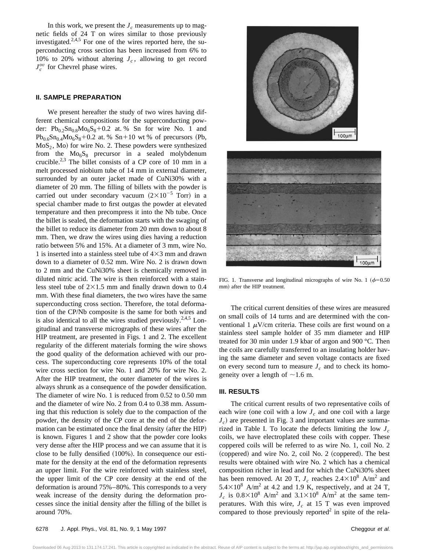In this work, we present the  $J_c$  measurements up to magnetic fields of 24 T on wires similar to those previously investigated. $2,4,5$  For one of the wires reported here, the superconducting cross section has been increased from 6% to 10% to 20% without altering  $J_c$ , allowing to get record  $J_c^{ov}$  for Chevrel phase wires.

## **II. SAMPLE PREPARATION**

We present hereafter the study of two wires having different chemical compositions for the superconducting powder:  $Pb_{0.2}Sn_{0.8}Mo_6S_8+0.2$  at. % Sn for wire No. 1 and  $Pb_{0.6}Sn_{0.4}Mo_{6}S_{8}+0.2$  at. %  $Sn+10$  wt % of precursors (Pb,  $MoS<sub>2</sub>$ , Mo) for wire No. 2. These powders were synthesized from the  $Mo<sub>6</sub>S<sub>8</sub>$  precursor in a sealed molybdenum crucible.2,3 The billet consists of a CP core of 10 mm in a melt processed niobium tube of 14 mm in external diameter, surrounded by an outer jacket made of CuNi30% with a diameter of 20 mm. The filling of billets with the powder is carried out under secondary vacuum  $(2\times10^{-5}$  Torr) in a special chamber made to first outgas the powder at elevated temperature and then precompress it into the Nb tube. Once the billet is sealed, the deformation starts with the swaging of the billet to reduce its diameter from 20 mm down to about 8 mm. Then, we draw the wires using dies having a reduction ratio between 5% and 15%. At a diameter of 3 mm, wire No. 1 is inserted into a stainless steel tube of  $4\times3$  mm and drawn down to a diameter of 0.52 mm. Wire No. 2 is drawn down to 2 mm and the CuNi30% sheet is chemically removed in diluted nitric acid. The wire is then reinforced with a stainless steel tube of  $2\times1.5$  mm and finally drawn down to 0.4 mm. With these final diameters, the two wires have the same superconducting cross section. Therefore, the total deformation of the CP/Nb composite is the same for both wires and is also identical to all the wires studied previously.<sup>2,4,5</sup> Longitudinal and transverse micrographs of these wires after the HIP treatment, are presented in Figs. 1 and 2. The excellent regularity of the different materials forming the wire shows the good quality of the deformation achieved with our process. The superconducting core represents 10% of the total wire cross section for wire No. 1 and 20% for wire No. 2. After the HIP treatment, the outer diameter of the wires is always shrunk as a consequence of the powder densification. The diameter of wire No. 1 is reduced from 0.52 to 0.50 mm and the diameter of wire No. 2 from 0.4 to 0.38 mm. Assuming that this reduction is solely due to the compaction of the powder, the density of the CP core at the end of the deformation can be estimated once the final density (after the HIP) is known. Figures 1 and 2 show that the powder core looks very dense after the HIP process and we can assume that it is close to be fully densified  $(100\%)$ . In consequence our estimate for the density at the end of the deformation represents an upper limit. For the wire reinforced with stainless steel, the upper limit of the CP core density at the end of the deformation is around 75%–80%. This corresponds to a very weak increase of the density during the deformation processes since the initial density after the filling of the billet is around 70%.





FIG. 1. Transverse and longitudinal micrographs of wire No. 1 ( $\phi$ =0.50 mm) after the HIP treatment.

The critical current densities of these wires are measured on small coils of 14 turns and are determined with the conventional 1  $\mu$ V/cm criteria. These coils are first wound on a stainless steel sample holder of 35 mm diameter and HIP treated for 30 min under 1.9 kbar of argon and 900 °C. Then the coils are carefully transferred to an insulating holder having the same diameter and seven voltage contacts are fixed on every second turn to measure  $J_c$  and to check its homogeneity over a length of  $\sim$ 1.6 m.

# **III. RESULTS**

The critical current results of two representative coils of each wire (one coil with a low  $J_c$  and one coil with a large  $J_c$ ) are presented in Fig. 3 and important values are summarized in Table I. To locate the defects limiting the low  $J_c$ coils, we have electroplated these coils with copper. These coppered coils will be referred to as wire No. 1, coil No. 2  $(coppered)$  and wire No. 2, coil No. 2  $(coppered)$ . The best results were obtained with wire No. 2 which has a chemical composition richer in lead and for which the CuNi30% sheet has been removed. At 20 T,  $J_c$  reaches  $2.4 \times 10^8$  A/m<sup>2</sup> and  $5.4\times10^{8}$  A/m<sup>2</sup> at 4.2 and 1.9 K, respectively, and at 24 T,  $J_c$  is  $0.8 \times 10^8$  A/m<sup>2</sup> and  $3.1 \times 10^8$  A/m<sup>2</sup> at the same temperatures. With this wire,  $J_c$  at 15 T was even improved compared to those previously reported<sup>2</sup> in spite of the rela-

Downloaded 06 Aug 2013 to 131.174.17.241. This article is copyrighted as indicated in the abstract. Reuse of AIP content is subject to the terms at: http://jap.aip.org/about/rights\_and\_permissions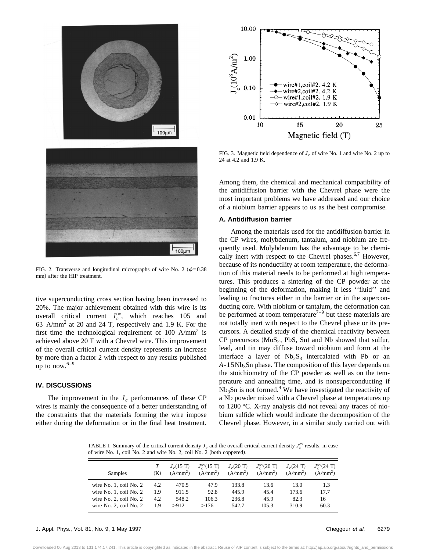

FIG. 2. Transverse and longitudinal micrographs of wire No. 2 ( $\phi$ =0.38 mm) after the HIP treatment.

tive superconducting cross section having been increased to 20%. The major achievement obtained with this wire is its overall critical current  $J_c^{ov}$ , which reaches 105 and 63 A/mm<sup>2</sup> at 20 and 24 T, respectively and 1.9 K. For the first time the technological requirement of 100  $A/mm^2$  is achieved above 20 T with a Chevrel wire. This improvement of the overall critical current density represents an increase by more than a factor 2 with respect to any results published up to now.  $6-9$ 

## **IV. DISCUSSIONS**

The improvement in the  $J_c$  performances of these CP wires is mainly the consequence of a better understanding of the constraints that the materials forming the wire impose either during the deformation or in the final heat treatment.



FIG. 3. Magnetic field dependence of  $J_c$  of wire No. 1 and wire No. 2 up to 24 at 4.2 and 1.9 K.

Among them, the chemical and mechanical compatibility of the antidiffusion barrier with the Chevrel phase were the most important problems we have addressed and our choice of a niobium barrier appears to us as the best compromise.

## **A. Antidiffusion barrier**

Among the materials used for the antidiffusion barrier in the CP wires, molybdenum, tantalum, and niobium are frequently used. Molybdenum has the advantage to be chemically inert with respect to the Chevrel phases.<sup>6,7</sup> However, because of its nonductility at room temperature, the deformation of this material needs to be performed at high temperatures. This produces a sintering of the CP powder at the beginning of the deformation, making it less ''fluid'' and leading to fractures either in the barrier or in the superconducting core. With niobium or tantalum, the deformation can be performed at room temperature<sup> $7-9$ </sup> but these materials are not totally inert with respect to the Chevrel phase or its precursors. A detailed study of the chemical reactivity between  $CP$  precursors  $(MoS<sub>2</sub>, PbS, Sn)$  and Nb showed that sulfur, lead, and tin may diffuse toward niobium and form at the interface a layer of  $Nb<sub>2</sub>S<sub>3</sub>$  intercalated with Pb or an A-15Nb<sub>3</sub>Sn phase. The composition of this layer depends on the stoichiometry of the CP powder as well as on the temperature and annealing time, and is nonsuperconducting if  $Nb<sub>3</sub>Sn$  is not formed.<sup>9</sup> We have investigated the reactivity of a Nb powder mixed with a Chevrel phase at temperatures up to 1200 °C. X-ray analysis did not reveal any traces of niobium sulfide which would indicate the decomposition of the Chevrel phase. However, in a similar study carried out with

TABLE I. Summary of the critical current density  $J_c$  and the overall critical current density  $J_c^{ov}$  results, in case of wire No. 1, coil No. 2 and wire No. 2, coil No. 2 (both coppered).

| Samples                     | (K) | $J_c(15 \text{ T})$<br>(A/mm <sup>2</sup> ) | $J_{\rm c}^{\rm ov}(15~{\rm T})$<br>(A/mm <sup>2</sup> ) | $J_c(20 \text{ T})$<br>(A/mm <sup>2</sup> ) | $J_c^{\rm ov}(20~{\rm T})$<br>(A/mm <sup>2</sup> ) | $J_c(24 \text{ T})$<br>(A/mm <sup>2</sup> ) | $J_{\circ}^{\rm ov}(24~{\rm T})$<br>(A/mm <sup>2</sup> ) |
|-----------------------------|-----|---------------------------------------------|----------------------------------------------------------|---------------------------------------------|----------------------------------------------------|---------------------------------------------|----------------------------------------------------------|
| wire No. $1$ , coil No. $2$ | 4.2 | 470.5                                       | 47.9                                                     | 133.8                                       | 13.6                                               | 13.0                                        | 1.3                                                      |
| wire No. 1, coil No. 2      | 1.9 | 911.5                                       | 92.8                                                     | 445.9                                       | 45.4                                               | 173.6                                       | 17.7                                                     |
| wire No. 2, coil No. 2      | 4.2 | 548.2                                       | 106.3                                                    | 236.8                                       | 45.9                                               | 82.3                                        | 16                                                       |
| wire No. $2$ , coil No. $2$ | 19  | >912                                        | >176                                                     | 542.7                                       | 105.3                                              | 310.9                                       | 60.3                                                     |

Downloaded 06 Aug 2013 to 131.174.17.241. This article is copyrighted as indicated in the abstract. Reuse of AIP content is subject to the terms at: http://jap.aip.org/about/rights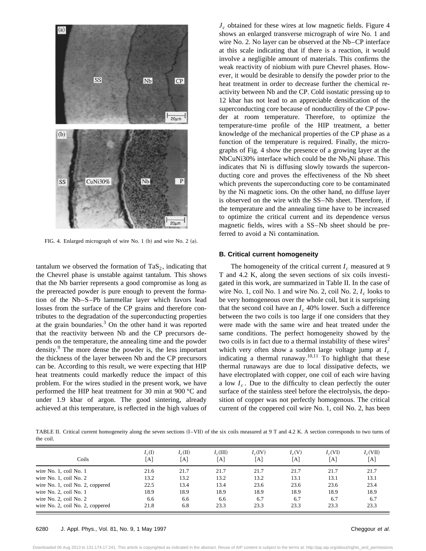

FIG. 4. Enlarged micrograph of wire No. 1  $(b)$  and wire No. 2  $(a)$ .

tantalum we observed the formation of  $TaS_2$ , indicating that the Chevrel phase is unstable against tantalum. This shows that the Nb barrier represents a good compromise as long as the prereacted powder is pure enough to prevent the formation of the Nb–S–Pb lammellar layer which favors lead losses from the surface of the CP grains and therefore contributes to the degradation of the superconducting properties at the grain boundaries. $3$  On the other hand it was reported that the reactivity between Nb and the CP precursors depends on the temperature, the annealing time and the powder density.<sup>9</sup> The more dense the powder is, the less important the thickness of the layer between Nb and the CP precursors can be. According to this result, we were expecting that HIP heat treatments could markedly reduce the impact of this problem. For the wires studied in the present work, we have performed the HIP heat treatment for 30 min at 900 °C and under 1.9 kbar of argon. The good sintering, already achieved at this temperature, is reflected in the high values of *Jc* obtained for these wires at low magnetic fields. Figure 4 shows an enlarged transverse micrograph of wire No. 1 and wire No. 2. No layer can be observed at the Nb–CP interface at this scale indicating that if there is a reaction, it would involve a negligible amount of materials. This confirms the weak reactivity of niobium with pure Chevrel phases. However, it would be desirable to densify the powder prior to the heat treatment in order to decrease further the chemical reactivity between Nb and the CP. Cold isostatic pressing up to 12 kbar has not lead to an appreciable densification of the superconducting core because of nonductility of the CP powder at room temperature. Therefore, to optimize the temperature-time profile of the HIP treatment, a better knowledge of the mechanical properties of the CP phase as a function of the temperature is required. Finally, the micrographs of Fig. 4 show the presence of a growing layer at the  $NbCuNi30%$  interface which could be the  $Nb<sub>3</sub>Ni$  phase. This indicates that Ni is diffusing slowly towards the superconducting core and proves the effectiveness of the Nb sheet which prevents the superconducting core to be contaminated by the Ni magnetic ions. On the other hand, no diffuse layer is observed on the wire with the SS–Nb sheet. Therefore, if the temperature and the annealing time have to be increased to optimize the critical current and its dependence versus magnetic fields, wires with a SS–Nb sheet should be preferred to avoid a Ni contamination.

#### **B. Critical current homogeneity**

The homogeneity of the critical current  $I_c$  measured at 9 T and 4.2 K, along the seven sections of six coils investigated in this work, are summarized in Table II. In the case of wire No. 1, coil No. 1 and wire No. 2, coil No. 2,  $I_c$  looks to be very homogeneous over the whole coil, but it is surprising that the second coil have an  $I_c$  40% lower. Such a difference between the two coils is too large if one considers that they were made with the same wire and heat treated under the same conditions. The perfect homogeneity showed by the two coils is in fact due to a thermal instability of these wires<sup>2</sup> which very often show a sudden large voltage jump at  $I_c$ indicating a thermal runaway.<sup>10,11</sup> To highlight that these thermal runaways are due to local dissipative defects, we have electroplated with copper, one coil of each wire having a low  $I_c$ . Due to the difficulty to clean perfectly the outer surface of the stainless steel before the electrolysis, the deposition of copper was not perfectly homogenous. The critical current of the coppered coil wire No. 1, coil No. 2, has been

TABLE II. Critical current homogeneity along the seven sections (I–VII) of the six coils measured at 9 T and 4.2 K. A section corresponds to two turns of the coil.

| Coils                            | $I_c(I)$<br>[A] | $I_c(II)$<br>[A] | $I_c(III)$<br>  A | $I_c(IV)$<br> A | $I_c(V)$<br>[A] | $I_c(VI)$<br>[A] | $I_c(VII)$<br>[A] |
|----------------------------------|-----------------|------------------|-------------------|-----------------|-----------------|------------------|-------------------|
| wire No. 1, coil No. 1           | 21.6            | 21.7             | 21.7              | 21.7            | 21.7            | 21.7             | 21.7              |
| wire No. $1$ , coil No. $2$      | 13.2            | 13.2             | 13.2              | 13.2            | 13.1            | 13.1             | 13.1              |
| wire No. 1, coil No. 2, coppered | 22.5            | 13.4             | 13.4              | 23.6            | 23.6            | 23.6             | 23.4              |
| wire No. 2, coil No. 1           | 18.9            | 18.9             | 18.9              | 18.9            | 18.9            | 18.9             | 18.9              |
| wire No. 2, coil No. 2           | 6.6             | 6.6              | 6.6               | 6.7             | 6.7             | 6.7              | 6.7               |
| wire No. 2, coil No. 2, coppered | 21.8            | 6.8              | 23.3              | 23.3            | 23.3            | 23.3             | 23.3              |

## 6280 J. Appl. Phys., Vol. 81, No. 9, 1 May 1997 Cheggour et al.

Downloaded 06 Aug 2013 to 131.174.17.241. This article is copyrighted as indicated in the abstract. Reuse of AIP content is subject to the terms at: http://jap.aip.org/about/rights\_and\_permissions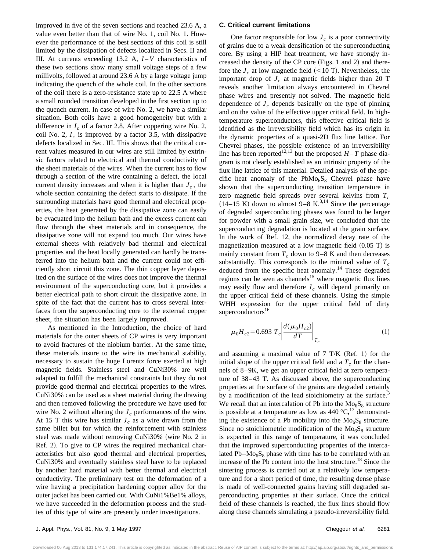improved in five of the seven sections and reached 23.6 A, a value even better than that of wire No. 1, coil No. 1. However the performance of the best sections of this coil is still limited by the dissipation of defects localized in Secs. II and III. At currents exceeding 13.2 A, *I*-*V* characteristics of these two sections show many small voltage steps of a few millivolts, followed at around 23.6 A by a large voltage jump indicating the quench of the whole coil. In the other sections of the coil there is a zero-resistance state up to 22.5 A where a small rounded transition developed in the first section up to the quench current. In case of wire No. 2, we have a similar situation. Both coils have a good homogeneity but with a difference in  $I_c$  of a factor 2.8. After coppering wire No. 2, coil No. 2,  $I_c$  is improved by a factor 3.5, with dissipative defects localized in Sec. III. This shows that the critical current values measured in our wires are still limited by extrinsic factors related to electrical and thermal conductivity of the sheet materials of the wires. When the current has to flow through a section of the wire containing a defect, the local current density increases and when it is higher than  $J_c$ , the whole section containing the defect starts to dissipate. If the surrounding materials have good thermal and electrical properties, the heat generated by the dissipative zone can easily be evacuated into the helium bath and the excess current can flow through the sheet materials and in consequence, the dissipative zone will not expand too much. Our wires have external sheets with relatively bad thermal and electrical properties and the heat locally generated can hardly be transferred into the helium bath and the current could not efficiently short circuit this zone. The thin copper layer deposited on the surface of the wires does not improve the thermal environment of the superconducting core, but it provides a better electrical path to short circuit the dissipative zone. In spite of the fact that the current has to cross several interfaces from the superconducting core to the external copper sheet, the situation has been largely improved.

As mentioned in the Introduction, the choice of hard materials for the outer sheets of CP wires is very important to avoid fractures of the niobium barrier. At the same time, these materials insure to the wire its mechanical stability, necessary to sustain the huge Lorentz force exerted at high magnetic fields. Stainless steel and CuNi30% are well adapted to fulfill the mechanical constraints but they do not provide good thermal and electrical properties to the wires. CuNi30% can be used as a sheet material during the drawing and then removed following the procedure we have used for wire No. 2 without altering the  $J_c$  performances of the wire. At 15 T this wire has similar  $J_c$  as a wire drawn from the same billet but for which the reinforcement with stainless steel was made without removing CuNi30% (wire No. 2 in Ref. 2). To give to CP wires the required mechanical characteristics but also good thermal and electrical properties, CuNi30% and eventually stainless steel have to be replaced by another hard material with better thermal and electrical conductivity. The preliminary test on the deformation of a wire having a precipitation hardening copper alloy for the outer jacket has been carried out. With CuNi1%Be1% alloys, we have succeeded in the deformation process and the studies of this type of wire are presently under investigations.

### **C. Critical current limitations**

One factor responsible for low  $J_c$  is a poor connectivity of grains due to a weak densification of the superconducting core. By using a HIP heat treatment, we have strongly increased the density of the CP core  $(Figs. 1$  and 2) and therefore the  $J_c$  at low magnetic field  $(<10$  T). Nevertheless, the important drop of  $J_c$  at magnetic fields higher than 20 T reveals another limitation always encountered in Chevrel phase wires and presently not solved. The magnetic field dependence of  $J_c$  depends basically on the type of pinning and on the value of the effective upper critical field. In hightemperature superconductors, this effective critical field is identified as the irreversibility field which has its origin in the dynamic properties of a quasi-2D flux line lattice. For Chevrel phases, the possible existence of an irreversibility line has been reported<sup>12,13</sup> but the proposed  $H - T$  phase diagram is not clearly established as an intrinsic property of the flux line lattice of this material. Detailed analysis of the specific heat anomaly of the  $PbMo<sub>6</sub>S<sub>8</sub>$  Chevrel phase have shown that the superconducting transition temperature in zero magnetic field spreads over several kelvins from  $T_c$  $(14-15 \text{ K})$  down to almost 9–8 K.<sup>3,14</sup> Since the percentage of degraded superconducting phases was found to be larger for powder with a small grain size, we concluded that the superconducting degradation is located at the grain surface. In the work of Ref. 12, the normalized decay rate of the magnetization measured at a low magnetic field  $(0.05 \text{ T})$  is mainly constant from  $T_c$  down to 9–8 K and then decreases substantially. This corresponds to the minimal value of  $T_c$ deduced from the specific heat anomaly.<sup>14</sup> These degraded regions can be seen as channels<sup>15</sup> where magnetic flux lines may easily flow and therefore  $J_c$  will depend primarily on the upper critical field of these channels. Using the simple WHH expression for the upper critical field of dirty superconductors<sup>16</sup>

$$
\mu_0 H_{c2} = 0.693 \left. T_c \left| \frac{d(\mu_0 H_{c2})}{dT} \right|_{T_c} \right| \tag{1}
$$

and assuming a maximal value of  $7$  T/K (Ref. 1) for the initial slope of the upper critical field and a  $T_c$  for the channels of 8–9K, we get an upper critical field at zero temperature of 38–43 T. As discussed above, the superconducting properties at the surface of the grains are degraded certainly by a modification of the lead stoichiometry at the surface.<sup>3</sup> We recall that an intercalation of Pb into the  $Mo<sub>6</sub>S<sub>8</sub>$  structure is possible at a temperature as low as  $440\degree C$ ,<sup>17</sup> demonstrating the existence of a Pb mobility into the  $Mo<sub>6</sub>S<sub>8</sub>$  structure. Since no stoichiometric modification of the  $Mo<sub>6</sub>S<sub>8</sub>$  structure is expected in this range of temperature, it was concluded that the improved superconducting properties of the intercalated  $Pb-Mo<sub>6</sub>S<sub>8</sub>$  phase with time has to be correlated with an increase of the Pb content into the host structure.<sup>18</sup> Since the sintering process is carried out at a relatively low temperature and for a short period of time, the resulting dense phase is made of well-connected grains having still degraded superconducting properties at their surface. Once the critical field of these channels is reached, the flux lines should flow along these channels simulating a pseudo-irreversibility field.

Downloaded 06 Aug 2013 to 131.174.17.241. This article is copyrighted as indicated in the abstract. Reuse of AIP content is subject to the terms at: http://jap.aip.org/about/rights\_and\_permissions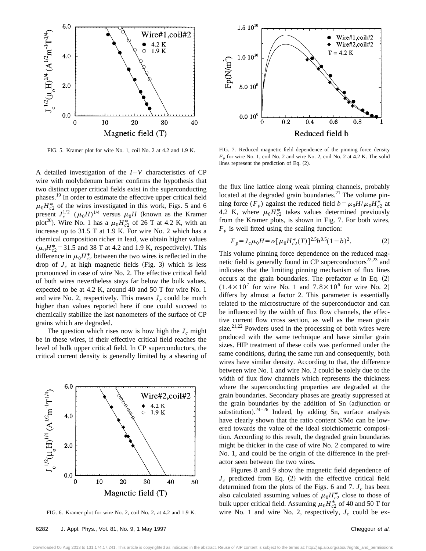

FIG. 5. Kramer plot for wire No. 1, coil No. 2 at 4.2 and 1.9 K.

A detailed investigation of the *I*-*V* characteristics of CP wire with molybdenum barrier confirms the hypothesis that two distinct upper critical fields exist in the superconducting phases.<sup>19</sup> In order to estimate the effective upper critical field  $\mu_0 H_{c2}^*$  of the wires investigated in this work, Figs. 5 and 6 present  $J_c^{1/2}$   $(\mu_0 H)^{1/4}$  versus  $\mu_0 H$  (known as the Kramer plot<sup>20</sup>). Wire No. 1 has a  $\mu_0 H_{c2}^*$  of 26 T at 4.2 K, with an increase up to 31.5 T at 1.9 K. For wire No. 2 which has a chemical composition richer in lead, we obtain higher values  $(\mu_0 H_{c2}^* = 31.5$  and 38 T at 4.2 and 1.9 K, respectively). This difference in  $\mu_0 H_{c2}^*$  between the two wires is reflected in the drop of  $J_c$  at high magnetic fields (Fig. 3) which is less pronounced in case of wire No. 2. The effective critical field of both wires nevertheless stays far below the bulk values, expected to be at 4.2 K, around 40 and 50 T for wire No. 1 and wire No. 2, respectively. This means  $J_c$  could be much higher than values reported here if one could succeed to chemically stabilize the last nanometers of the surface of CP grains which are degraded.

The question which rises now is how high the  $J_c$  might be in these wires, if their effective critical field reaches the level of bulk upper critical field. In CP superconductors, the critical current density is generally limited by a shearing of



FIG. 6. Kramer plot for wire No. 2, coil No. 2, at 4.2 and 1.9 K.



FIG. 7. Reduced magnetic field dependence of the pinning force density *Fp* for wire No. 1, coil No. 2 and wire No. 2, coil No. 2 at 4.2 K. The solid lines represent the prediction of Eq.  $(2)$ .

the flux line lattice along weak pinning channels, probably located at the degraded grain boundaries. $21$  The volume pinning force  $(F_p)$  against the reduced field  $b = \mu_0 H / \mu_0 H_{c2}^*$  at 4.2 K, where  $\mu_0 H_{c2}^*$  takes values determined previously from the Kramer plots, is shown in Fig. 7. For both wires,  $F_p$  is well fitted using the scaling function:

$$
F_p = J_c \mu_0 H = \alpha [\mu_0 H_{c2}^*(T)]^{2.5} b^{0.5} (1 - b)^2.
$$
 (2)

This volume pinning force dependence on the reduced magnetic field is generally found in CP superconductors $22,23$  and indicates that the limiting pinning mechanism of flux lines occurs at the grain boundaries. The prefactor  $\alpha$  in Eq. (2)  $(1.4 \times 10^7$  for wire No. 1 and  $7.8 \times 10^6$  for wire No. 2) differs by almost a factor 2. This parameter is essentially related to the microstructure of the superconductor and can be influenced by the width of flux flow channels, the effective current flow cross section, as well as the mean grain size. $2^{1,22}$  Powders used in the processing of both wires were produced with the same technique and have similar grain sizes. HIP treatment of these coils was performed under the same conditions, during the same run and consequently, both wires have similar density. According to that, the difference between wire No. 1 and wire No. 2 could be solely due to the width of flux flow channels which represents the thickness where the superconducting properties are degraded at the grain boundaries. Secondary phases are greatly suppressed at the grain boundaries by the addition of Sn (adjunction or substitution). $24-26$  Indeed, by adding Sn, surface analysis have clearly shown that the ratio content S/Mo can be lowered towards the value of the ideal stoichiometric composition. According to this result, the degraded grain boundaries might be thicker in the case of wire No. 2 compared to wire No. 1, and could be the origin of the difference in the prefactor seen between the two wires.

Figures 8 and 9 show the magnetic field dependence of  $J_c$  predicted from Eq.  $(2)$  with the effective critical field determined from the plots of the Figs. 6 and 7.  $J_c$  has been also calculated assuming values of  $\mu_0 H_{c2}^*$  close to those of bulk upper critical field. Assuming  $\mu_0 H_{c2}^*$  of 40 and 50 T for wire No. 1 and wire No. 2, respectively,  $J_c$  could be ex-

Downloaded 06 Aug 2013 to 131.174.17.241. This article is copyrighted as indicated in the abstract. Reuse of AIP content is subject to the terms at: http://jap.aip.org/about/rights\_and\_permissions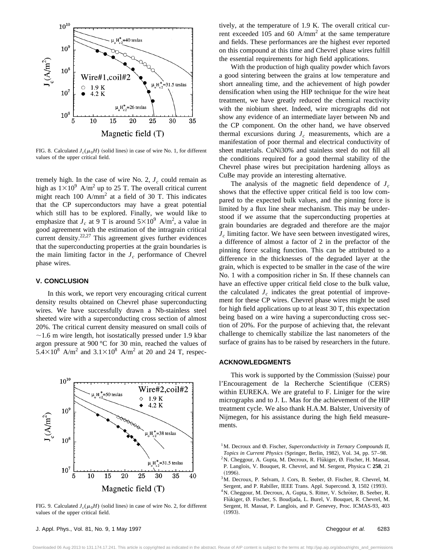

FIG. 8. Calculated  $J_c(\mu_0H)$  (solid lines) in case of wire No. 1, for different values of the upper critical field.

tremely high. In the case of wire No. 2,  $J_c$  could remain as high as  $1\times10^9$  A/m<sup>2</sup> up to 25 T. The overall critical current might reach 100  $A/mm^2$  at a field of 30 T. This indicates that the CP superconductors may have a great potential which still has to be explored. Finally, we would like to emphasize that  $J_c$  at 9 T is around  $5 \times 10^9$  A/m<sup>2</sup>, a value in good agreement with the estimation of the intragrain critical current density.<sup>22,27</sup> This agreement gives further evidences that the superconducting properties at the grain boundaries is the main limiting factor in the  $J_c$  performance of Chevrel phase wires.

## **V. CONCLUSION**

In this work, we report very encouraging critical current density results obtained on Chevrel phase superconducting wires. We have successfully drawn a Nb-stainless steel sheeted wire with a superconducting cross section of almost 20%. The critical current density measured on small coils of  $\sim$ 1.6 m wire length, hot isostatically pressed under 1.9 kbar argon pressure at 900 °C for 30 min, reached the values of  $5.4\times10^8$  A/m<sup>2</sup> and  $3.1\times10^8$  A/m<sup>2</sup> at 20 and 24 T, respec-



FIG. 9. Calculated  $J_c(\mu_0H)$  (solid lines) in case of wire No. 2, for different values of the upper critical field.

tively, at the temperature of 1.9 K. The overall critical current exceeded 105 and 60  $A/mm^2$  at the same temperature and fields. These performances are the highest ever reported on this compound at this time and Chevrel phase wires fulfill the essential requirements for high field applications.

With the production of high quality powder which favors a good sintering between the grains at low temperature and short annealing time, and the achievement of high powder densification when using the HIP technique for the wire heat treatment, we have greatly reduced the chemical reactivity with the niobium sheet. Indeed, wire micrographs did not show any evidence of an intermediate layer between Nb and the CP component. On the other hand, we have observed thermal excursions during  $J_c$  measurements, which are a manifestation of poor thermal and electrical conductivity of sheet materials. CuNi30% and stainless steel do not fill all the conditions required for a good thermal stability of the Chevrel phase wires but precipitation hardening alloys as CuBe may provide an interesting alternative.

The analysis of the magnetic field dependence of  $J_c$ shows that the effective upper critical field is too low compared to the expected bulk values, and the pinning force is limited by a flux line shear mechanism. This may be understood if we assume that the superconducting properties at grain boundaries are degraded and therefore are the major  $J_c$  limiting factor. We have seen between investigated wires, a difference of almost a factor of 2 in the prefactor of the pinning force scaling function. This can be attributed to a difference in the thicknesses of the degraded layer at the grain, which is expected to be smaller in the case of the wire No. 1 with a composition richer in Sn. If these channels can have an effective upper critical field close to the bulk value, the calculated  $J_c$  indicates the great potential of improvement for these CP wires. Chevrel phase wires might be used for high field applications up to at least 30 T, this expectation being based on a wire having a superconducting cross section of 20%. For the purpose of achieving that, the relevant challenge to chemically stabilize the last nanometers of the surface of grains has to be raised by researchers in the future.

## **ACKNOWLEDGMENTS**

This work is supported by the Commission (Suisse) pour l'Encouragement de la Recherche Scientifique (CERS) within EUREKA. We are grateful to F. Liniger for the wire micrographs and to J. L. Mas for the achievement of the HIP treatment cycle. We also thank H.A.M. Balster, University of Nijmegen, for his assistance during the high field measurements.

<sup>1</sup>M. Decroux and Ø. Fischer, *Superconductivity in Ternary Compounds II*, *Topics in Current Physics* (Springer, Berlin, 1982), Vol. 34, pp. 57-98. <sup>2</sup>N. Cheggour, A. Gupta, M. Decroux, R. Flükiger, Ø. Fischer, H. Massat,

- P. Langlois, V. Bouquet, R. Chevrel, and M. Sergent, Physica C **258**, 21  $(1996).$
- $3$ M. Decroux, P. Selvam, J. Cors, B. Seeber, Ø. Fischer, R. Chevrel, M. Sergent, and P. Rabiller, IEEE Trans. Appl. Supercond. 3, 1502 (1993).

<sup>4</sup>N. Cheggour, M. Decroux, A. Gupta, S. Ritter, V. Schröter, B. Seeber, R. Flükiger, Ø. Fischer, S. Boudjada, L. Burel, V. Bouquet, R. Chevrel, M. Sergent, H. Massat, P. Langlois, and P. Genevey, Proc. ICMAS-93, 403  $(1993)$ .

Downloaded 06 Aug 2013 to 131.174.17.241. This article is copyrighted as indicated in the abstract. Reuse of AIP content is subject to the terms at: http://jap.aip.org/about/rights\_and\_permissions